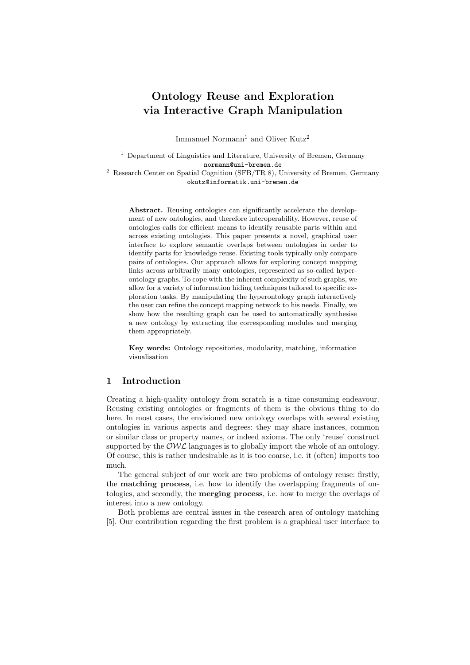# Ontology Reuse and Exploration via Interactive Graph Manipulation

Immanuel Normann<sup>1</sup> and Oliver Kutz<sup>2</sup>

<sup>1</sup> Department of Linguistics and Literature, University of Bremen, Germany normann@uni-bremen.de

<sup>2</sup> Research Center on Spatial Cognition (SFB/TR 8), University of Bremen, Germany okutz@informatik.uni-bremen.de

Abstract. Reusing ontologies can significantly accelerate the development of new ontologies, and therefore interoperability. However, reuse of ontologies calls for efficient means to identify reusable parts within and across existing ontologies. This paper presents a novel, graphical user interface to explore semantic overlaps between ontologies in order to identify parts for knowledge reuse. Existing tools typically only compare pairs of ontologies. Our approach allows for exploring concept mapping links across arbitrarily many ontologies, represented as so-called hyperontology graphs. To cope with the inherent complexity of such graphs, we allow for a variety of information hiding techniques tailored to specific exploration tasks. By manipulating the hyperontology graph interactively the user can refine the concept mapping network to his needs. Finally, we show how the resulting graph can be used to automatically synthesise a new ontology by extracting the corresponding modules and merging them appropriately.

Key words: Ontology repositories, modularity, matching, information visualisation

## 1 Introduction

Creating a high-quality ontology from scratch is a time consuming endeavour. Reusing existing ontologies or fragments of them is the obvious thing to do here. In most cases, the envisioned new ontology overlaps with several existing ontologies in various aspects and degrees: they may share instances, common or similar class or property names, or indeed axioms. The only 'reuse' construct supported by the  $\mathcal{OWL}$  languages is to globally import the whole of an ontology. Of course, this is rather undesirable as it is too coarse, i.e. it (often) imports too much.

The general subject of our work are two problems of ontology reuse: firstly, the matching process, i.e. how to identify the overlapping fragments of ontologies, and secondly, the merging process, i.e. how to merge the overlaps of interest into a new ontology.

Both problems are central issues in the research area of ontology matching [5]. Our contribution regarding the first problem is a graphical user interface to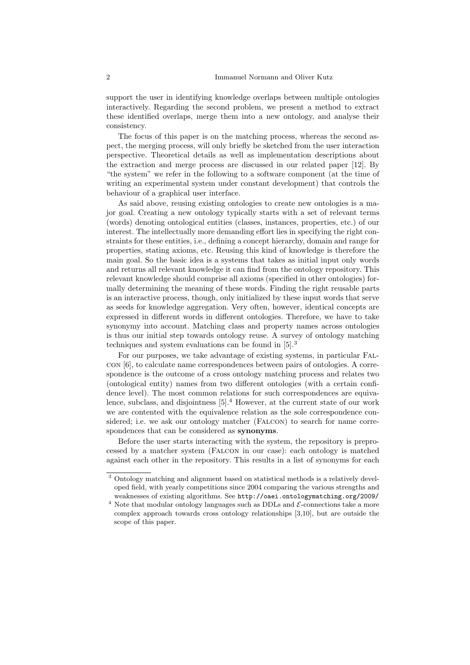support the user in identifying knowledge overlaps between multiple ontologies interactively. Regarding the second problem, we present a method to extract these identified overlaps, merge them into a new ontology, and analyse their consistency.

The focus of this paper is on the matching process, whereas the second aspect, the merging process, will only briefly be sketched from the user interaction perspective. Theoretical details as well as implementation descriptions about the extraction and merge process are discussed in our related paper [12]. By "the system" we refer in the following to a software component (at the time of writing an experimental system under constant development) that controls the behaviour of a graphical user interface.

As said above, reusing existing ontologies to create new ontologies is a major goal. Creating a new ontology typically starts with a set of relevant terms (words) denoting ontological entities (classes, instances, properties, etc.) of our interest. The intellectually more demanding effort lies in specifying the right constraints for these entities, i.e., defining a concept hierarchy, domain and range for properties, stating axioms, etc. Reusing this kind of knowledge is therefore the main goal. So the basic idea is a systems that takes as initial input only words and returns all relevant knowledge it can find from the ontology repository. This relevant knowledge should comprise all axioms (specified in other ontologies) formally determining the meaning of these words. Finding the right reusable parts is an interactive process, though, only initialized by these input words that serve as seeds for knowledge aggregation. Very often, however, identical concepts are expressed in different words in different ontologies. Therefore, we have to take synonymy into account. Matching class and property names across ontologies is thus our initial step towards ontology reuse. A survey of ontology matching techniques and system evaluations can be found in [5].<sup>3</sup>

For our purposes, we take advantage of existing systems, in particular Falcon [6], to calculate name correspondences between pairs of ontologies. A correspondence is the outcome of a cross ontology matching process and relates two (ontological entity) names from two different ontologies (with a certain confidence level). The most common relations for such correspondences are equivalence, subclass, and disjointness [5].<sup>4</sup> However, at the current state of our work we are contented with the equivalence relation as the sole correspondence considered; i.e. we ask our ontology matcher (Falcon) to search for name correspondences that can be considered as synonyms.

Before the user starts interacting with the system, the repository is preprocessed by a matcher system (Falcon in our case): each ontology is matched against each other in the repository. This results in a list of synonyms for each

<sup>3</sup> Ontology matching and alignment based on statistical methods is a relatively developed field, with yearly competitions since 2004 comparing the various strengths and weaknesses of existing algorithms. See http://oaei.ontologymatching.org/2009/

 $^4$  Note that modular ontology languages such as DDLs and  $\mathcal E\text{-connections}$  take a more complex approach towards cross ontology relationships [3,10], but are outside the scope of this paper.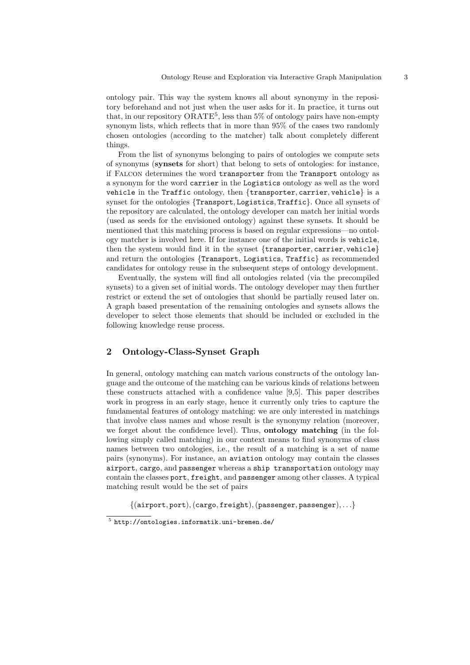ontology pair. This way the system knows all about synonymy in the repository beforehand and not just when the user asks for it. In practice, it turns out that, in our repository  $ORATE<sup>5</sup>$ , less than 5% of ontology pairs have non-empty synonym lists, which reflects that in more than 95% of the cases two randomly chosen ontologies (according to the matcher) talk about completely different things.

From the list of synonyms belonging to pairs of ontologies we compute sets of synonyms (synsets for short) that belong to sets of ontologies: for instance, if Falcon determines the word transporter from the Transport ontology as a synonym for the word carrier in the Logistics ontology as well as the word vehicle in the Traffic ontology, then {transporter, carrier, vehicle} is a synset for the ontologies {Transport, Logistics, Traffic}. Once all synsets of the repository are calculated, the ontology developer can match her initial words (used as seeds for the envisioned ontology) against these synsets. It should be mentioned that this matching process is based on regular expressions—no ontology matcher is involved here. If for instance one of the initial words is vehicle, then the system would find it in the synset {transporter, carrier, vehicle} and return the ontologies {Transport, Logistics, Traffic} as recommended candidates for ontology reuse in the subsequent steps of ontology development.

Eventually, the system will find all ontologies related (via the precompiled synsets) to a given set of initial words. The ontology developer may then further restrict or extend the set of ontologies that should be partially reused later on. A graph based presentation of the remaining ontologies and synsets allows the developer to select those elements that should be included or excluded in the following knowledge reuse process.

# 2 Ontology-Class-Synset Graph

In general, ontology matching can match various constructs of the ontology language and the outcome of the matching can be various kinds of relations between these constructs attached with a confidence value [9,5]. This paper describes work in progress in an early stage, hence it currently only tries to capture the fundamental features of ontology matching: we are only interested in matchings that involve class names and whose result is the synonymy relation (moreover, we forget about the confidence level). Thus, **ontology matching** (in the following simply called matching) in our context means to find synonyms of class names between two ontologies, i.e., the result of a matching is a set of name pairs (synonyms). For instance, an aviation ontology may contain the classes airport, cargo, and passenger whereas a ship transportation ontology may contain the classes port, freight, and passenger among other classes. A typical matching result would be the set of pairs

 $\{(airport, port), (cargo, freight), (passenger, passenger), \ldots\}$ 

<sup>5</sup> http://ontologies.informatik.uni-bremen.de/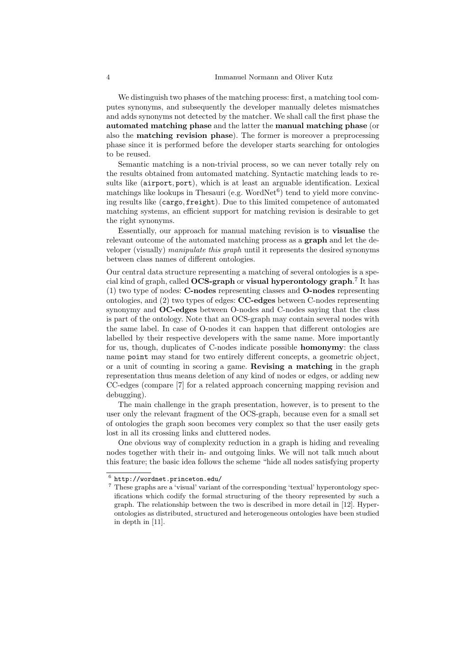We distinguish two phases of the matching process: first, a matching tool computes synonyms, and subsequently the developer manually deletes mismatches and adds synonyms not detected by the matcher. We shall call the first phase the automated matching phase and the latter the manual matching phase (or also the matching revision phase). The former is moreover a preprocessing phase since it is performed before the developer starts searching for ontologies to be reused.

Semantic matching is a non-trivial process, so we can never totally rely on the results obtained from automated matching. Syntactic matching leads to results like (airport, port), which is at least an arguable identification. Lexical matchings like lookups in Thesauri (e.g.  $WordNet<sup>6</sup>$ ) tend to yield more convincing results like (cargo, freight). Due to this limited competence of automated matching systems, an efficient support for matching revision is desirable to get the right synonyms.

Essentially, our approach for manual matching revision is to visualise the relevant outcome of the automated matching process as a **graph** and let the developer (visually) manipulate this graph until it represents the desired synonyms between class names of different ontologies.

Our central data structure representing a matching of several ontologies is a special kind of graph, called  $\mathbf{OCS}\text{-}\mathbf{graph}$  or visual hyperontology graph.<sup>7</sup> It has (1) two type of nodes: C-nodes representing classes and O-nodes representing ontologies, and (2) two types of edges: CC-edges between C-nodes representing synonymy and OC-edges between O-nodes and C-nodes saying that the class is part of the ontology. Note that an OCS-graph may contain several nodes with the same label. In case of O-nodes it can happen that different ontologies are labelled by their respective developers with the same name. More importantly for us, though, duplicates of C-nodes indicate possible homonymy: the class name point may stand for two entirely different concepts, a geometric object, or a unit of counting in scoring a game. Revising a matching in the graph representation thus means deletion of any kind of nodes or edges, or adding new CC-edges (compare [7] for a related approach concerning mapping revision and debugging).

The main challenge in the graph presentation, however, is to present to the user only the relevant fragment of the OCS-graph, because even for a small set of ontologies the graph soon becomes very complex so that the user easily gets lost in all its crossing links and cluttered nodes.

One obvious way of complexity reduction in a graph is hiding and revealing nodes together with their in- and outgoing links. We will not talk much about this feature; the basic idea follows the scheme "hide all nodes satisfying property

 $^6$  http://wordnet.princeton.edu/

<sup>7</sup> These graphs are a 'visual' variant of the corresponding 'textual' hyperontology specifications which codify the formal structuring of the theory represented by such a graph. The relationship between the two is described in more detail in [12]. Hyperontologies as distributed, structured and heterogeneous ontologies have been studied in depth in [11].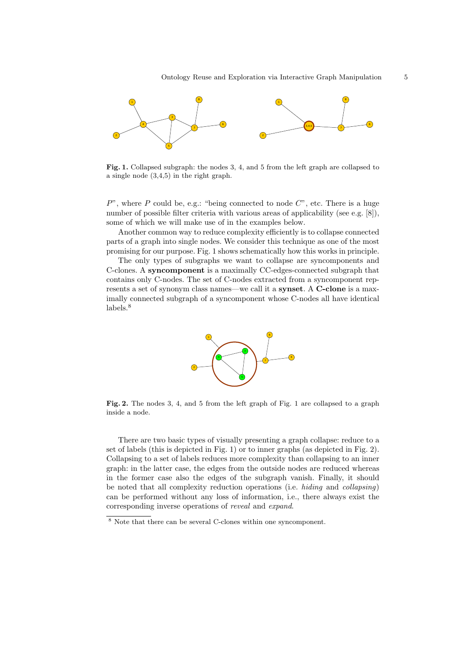

Fig. 1. Collapsed subgraph: the nodes 3, 4, and 5 from the left graph are collapsed to a single node (3,4,5) in the right graph.

 $P$ ", where P could be, e.g.: "being connected to node  $C$ ", etc. There is a huge number of possible filter criteria with various areas of applicability (see e.g. [8]), some of which we will make use of in the examples below.

Another common way to reduce complexity efficiently is to collapse connected parts of a graph into single nodes. We consider this technique as one of the most promising for our purpose. Fig. 1 shows schematically how this works in principle.

The only types of subgraphs we want to collapse are syncomponents and C-clones. A syncomponent is a maximally CC-edges-connected subgraph that contains only C-nodes. The set of C-nodes extracted from a syncomponent represents a set of synonym class names—we call it a **synset**. A **C-clone** is a maximally connected subgraph of a syncomponent whose C-nodes all have identical labels.<sup>8</sup>



Fig. 2. The nodes 3, 4, and 5 from the left graph of Fig. 1 are collapsed to a graph inside a node.

There are two basic types of visually presenting a graph collapse: reduce to a set of labels (this is depicted in Fig. 1) or to inner graphs (as depicted in Fig. 2). Collapsing to a set of labels reduces more complexity than collapsing to an inner graph: in the latter case, the edges from the outside nodes are reduced whereas in the former case also the edges of the subgraph vanish. Finally, it should be noted that all complexity reduction operations (i.e. hiding and collapsing) can be performed without any loss of information, i.e., there always exist the corresponding inverse operations of reveal and expand.

<sup>8</sup> Note that there can be several C-clones within one syncomponent.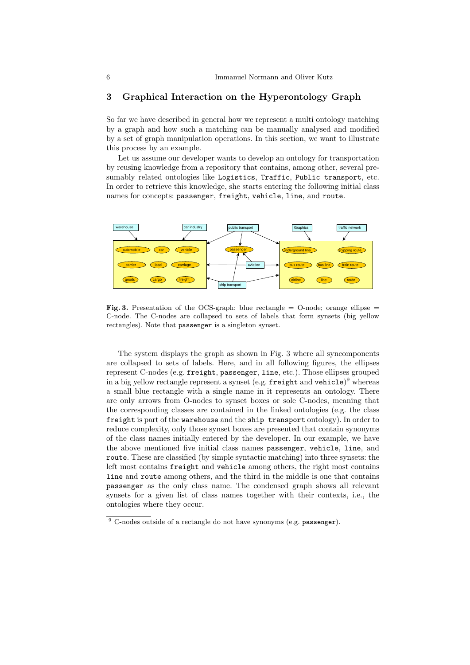## 3 Graphical Interaction on the Hyperontology Graph

So far we have described in general how we represent a multi ontology matching by a graph and how such a matching can be manually analysed and modified by a set of graph manipulation operations. In this section, we want to illustrate this process by an example.

Let us assume our developer wants to develop an ontology for transportation by reusing knowledge from a repository that contains, among other, several presumably related ontologies like Logistics, Traffic, Public transport, etc. In order to retrieve this knowledge, she starts entering the following initial class names for concepts: passenger, freight, vehicle, line, and route.



Fig. 3. Presentation of the OCS-graph: blue rectangle  $=$  O-node; orange ellipse  $=$ C-node. The C-nodes are collapsed to sets of labels that form synsets (big yellow rectangles). Note that passenger is a singleton synset.

The system displays the graph as shown in Fig. 3 where all syncomponents are collapsed to sets of labels. Here, and in all following figures, the ellipses represent C-nodes (e.g. freight, passenger, line, etc.). Those ellipses grouped in a big yellow rectangle represent a synset (e.g.  $\small{\texttt{freight}}$  and  $\small{\texttt{ vehicle}}$ ) $^9$  whereas a small blue rectangle with a single name in it represents an ontology. There are only arrows from O-nodes to synset boxes or sole C-nodes, meaning that the corresponding classes are contained in the linked ontologies (e.g. the class freight is part of the warehouse and the ship transport ontology). In order to reduce complexity, only those synset boxes are presented that contain synonyms of the class names initially entered by the developer. In our example, we have the above mentioned five initial class names passenger, vehicle, line, and route. These are classified (by simple syntactic matching) into three synsets: the left most contains freight and vehicle among others, the right most contains line and route among others, and the third in the middle is one that contains passenger as the only class name. The condensed graph shows all relevant synsets for a given list of class names together with their contexts, i.e., the ontologies where they occur.

 $9$  C-nodes outside of a rectangle do not have synonyms (e.g. passenger).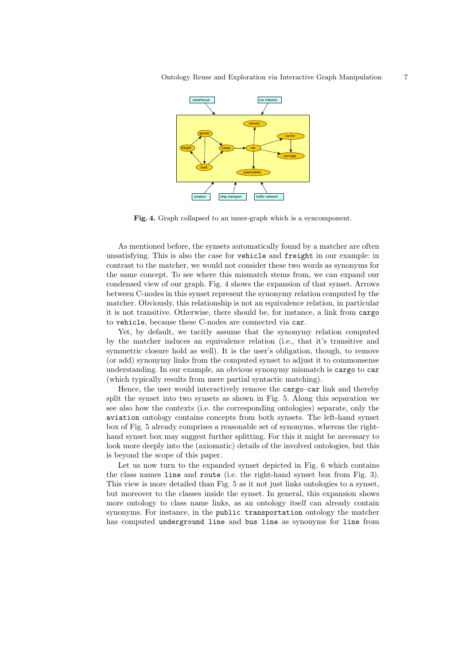

Fig. 4. Graph collapsed to an inner-graph which is a syncomponent.

As mentioned before, the synsets automatically found by a matcher are often unsatisfying. This is also the case for vehicle and freight in our example: in contrast to the matcher, we would not consider these two words as synonyms for the same concept. To see where this mismatch stems from, we can expand our condensed view of our graph. Fig. 4 shows the expansion of that synset. Arrows between C-nodes in this synset represent the synonymy relation computed by the matcher. Obviously, this relationship is not an equivalence relation, in particular it is not transitive. Otherwise, there should be, for instance, a link from cargo to vehicle, because these C-nodes are connected via car.

Yet, by default, we tacitly assume that the synonymy relation computed by the matcher induces an equivalence relation (i.e., that it's transitive and symmetric closure hold as well). It is the user's obligation, though, to remove (or add) synonymy links from the computed synset to adjust it to commonsense understanding. In our example, an obvious synonymy mismatch is cargo to car (which typically results from mere partial syntactic matching).

Hence, the user would interactively remove the cargo–car link and thereby split the synset into two synsets as shown in Fig. 5. Along this separation we see also how the contexts (i.e. the corresponding ontologies) separate, only the aviation ontology contains concepts from both synsets. The left-hand synset box of Fig. 5 already comprises a reasonable set of synonyms, whereas the righthand synset box may suggest further splitting. For this it might be necessary to look more deeply into the (axiomatic) details of the involved ontologies, but this is beyond the scope of this paper.

Let us now turn to the expanded synset depicted in Fig. 6 which contains the class names line and route (i.e. the right-hand synset box from Fig. 3). This view is more detailed than Fig. 5 as it not just links ontologies to a synset, but moreover to the classes inside the synset. In general, this expansion shows more ontology to class name links, as an ontology itself can already contain synonyms. For instance, in the public transportation ontology the matcher has computed underground line and bus line as synonyms for line from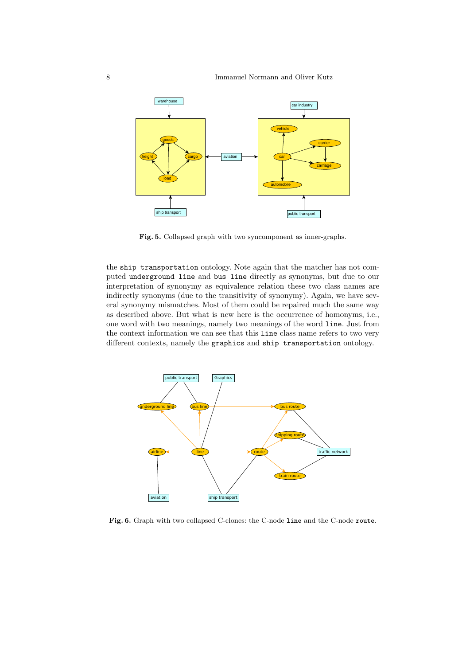

Fig. 5. Collapsed graph with two syncomponent as inner-graphs.

the ship transportation ontology. Note again that the matcher has not computed underground line and bus line directly as synonyms, but due to our interpretation of synonymy as equivalence relation these two class names are indirectly synonyms (due to the transitivity of synonymy). Again, we have several synonymy mismatches. Most of them could be repaired much the same way as described above. But what is new here is the occurrence of homonyms, i.e., one word with two meanings, namely two meanings of the word line. Just from the context information we can see that this line class name refers to two very different contexts, namely the graphics and ship transportation ontology.



Fig. 6. Graph with two collapsed C-clones: the C-node line and the C-node route.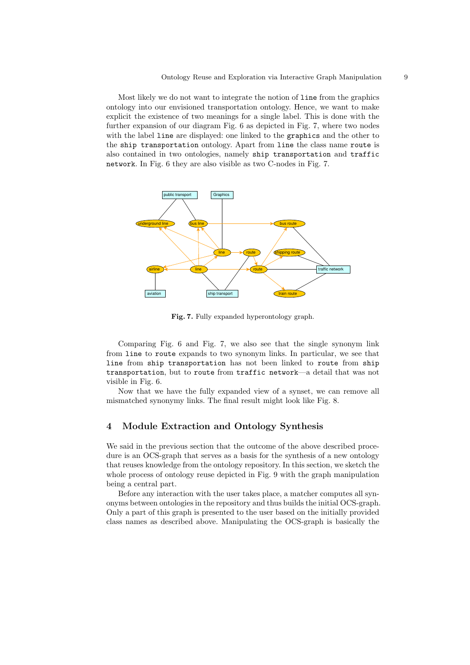Most likely we do not want to integrate the notion of line from the graphics ontology into our envisioned transportation ontology. Hence, we want to make explicit the existence of two meanings for a single label. This is done with the further expansion of our diagram Fig. 6 as depicted in Fig. 7, where two nodes with the label line are displayed: one linked to the graphics and the other to the ship transportation ontology. Apart from line the class name route is also contained in two ontologies, namely ship transportation and traffic network. In Fig. 6 they are also visible as two C-nodes in Fig. 7.



Fig. 7. Fully expanded hyperontology graph.

Comparing Fig. 6 and Fig. 7, we also see that the single synonym link from line to route expands to two synonym links. In particular, we see that line from ship transportation has not been linked to route from ship transportation, but to route from traffic network—a detail that was not visible in Fig. 6.

Now that we have the fully expanded view of a synset, we can remove all mismatched synonymy links. The final result might look like Fig. 8.

## 4 Module Extraction and Ontology Synthesis

We said in the previous section that the outcome of the above described procedure is an OCS-graph that serves as a basis for the synthesis of a new ontology that reuses knowledge from the ontology repository. In this section, we sketch the whole process of ontology reuse depicted in Fig. 9 with the graph manipulation being a central part.

Before any interaction with the user takes place, a matcher computes all synonyms between ontologies in the repository and thus builds the initial OCS-graph. Only a part of this graph is presented to the user based on the initially provided class names as described above. Manipulating the OCS-graph is basically the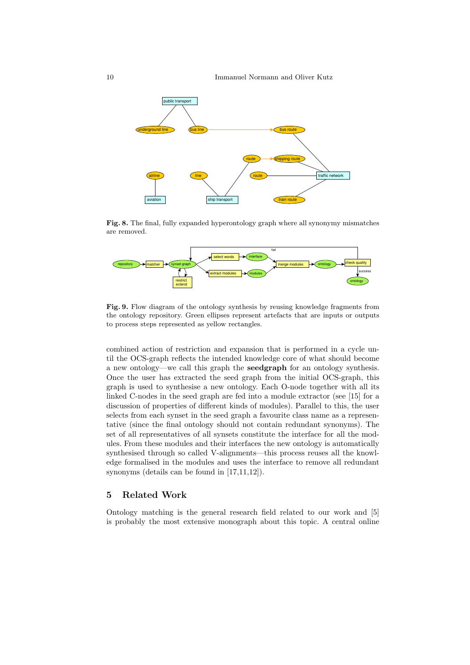

Fig. 8. The final, fully expanded hyperontology graph where all synonymy mismatches are removed.



Fig. 9. Flow diagram of the ontology synthesis by reusing knowledge fragments from the ontology repository. Green ellipses represent artefacts that are inputs or outputs to process steps represented as yellow rectangles.

combined action of restriction and expansion that is performed in a cycle until the OCS-graph reflects the intended knowledge core of what should become a new ontology—we call this graph the seedgraph for an ontology synthesis. Once the user has extracted the seed graph from the initial OCS-graph, this graph is used to synthesise a new ontology. Each O-node together with all its linked C-nodes in the seed graph are fed into a module extractor (see [15] for a discussion of properties of different kinds of modules). Parallel to this, the user selects from each synset in the seed graph a favourite class name as a representative (since the final ontology should not contain redundant synonyms). The set of all representatives of all synsets constitute the interface for all the modules. From these modules and their interfaces the new ontology is automatically synthesised through so called V-alignments—this process reuses all the knowledge formalised in the modules and uses the interface to remove all redundant synonyms (details can be found in [17,11,12]).

#### 5 Related Work

Ontology matching is the general research field related to our work and [5] is probably the most extensive monograph about this topic. A central online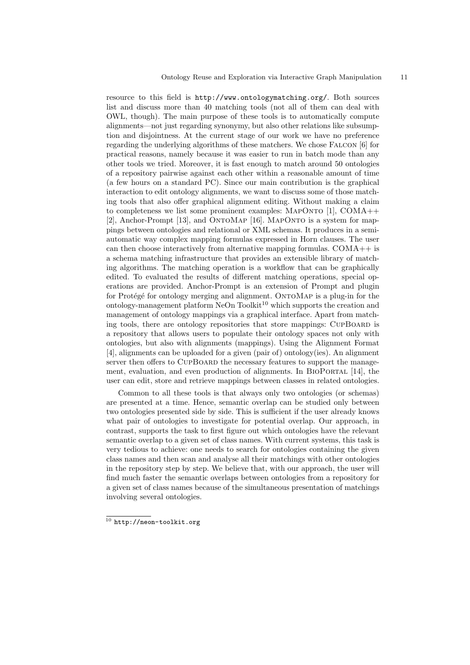resource to this field is http://www.ontologymatching.org/. Both sources list and discuss more than 40 matching tools (not all of them can deal with OWL, though). The main purpose of these tools is to automatically compute alignments—not just regarding synonymy, but also other relations like subsumption and disjointness. At the current stage of our work we have no preference regarding the underlying algorithms of these matchers. We chose Falcon [6] for practical reasons, namely because it was easier to run in batch mode than any other tools we tried. Moreover, it is fast enough to match around 50 ontologies of a repository pairwise against each other within a reasonable amount of time (a few hours on a standard PC). Since our main contribution is the graphical interaction to edit ontology alignments, we want to discuss some of those matching tools that also offer graphical alignment editing. Without making a claim to completeness we list some prominent examples:  $MAPONTO$  [1],  $COMA++$ [2], Anchor-Prompt [13], and ONTOMAP [16]. MAPONTO is a system for mappings between ontologies and relational or XML schemas. It produces in a semiautomatic way complex mapping formulas expressed in Horn clauses. The user can then choose interactively from alternative mapping formulas. COMA++ is a schema matching infrastructure that provides an extensible library of matching algorithms. The matching operation is a workflow that can be graphically edited. To evaluated the results of different matching operations, special operations are provided. Anchor-Prompt is an extension of Prompt and plugin for Protégé for ontology merging and alignment. ONTOMAP is a plug-in for the ontology-management platform  $NeOn$  Toolkit<sup>10</sup> which supports the creation and management of ontology mappings via a graphical interface. Apart from matching tools, there are ontology repositories that store mappings: CUPBOARD is a repository that allows users to populate their ontology spaces not only with ontologies, but also with alignments (mappings). Using the Alignment Format [4], alignments can be uploaded for a given (pair of) ontology(ies). An alignment server then offers to CUPBOARD the necessary features to support the management, evaluation, and even production of alignments. In BIOPORTAL [14], the user can edit, store and retrieve mappings between classes in related ontologies.

Common to all these tools is that always only two ontologies (or schemas) are presented at a time. Hence, semantic overlap can be studied only between two ontologies presented side by side. This is sufficient if the user already knows what pair of ontologies to investigate for potential overlap. Our approach, in contrast, supports the task to first figure out which ontologies have the relevant semantic overlap to a given set of class names. With current systems, this task is very tedious to achieve: one needs to search for ontologies containing the given class names and then scan and analyse all their matchings with other ontologies in the repository step by step. We believe that, with our approach, the user will find much faster the semantic overlaps between ontologies from a repository for a given set of class names because of the simultaneous presentation of matchings involving several ontologies.

 $10$  http://neon-toolkit.org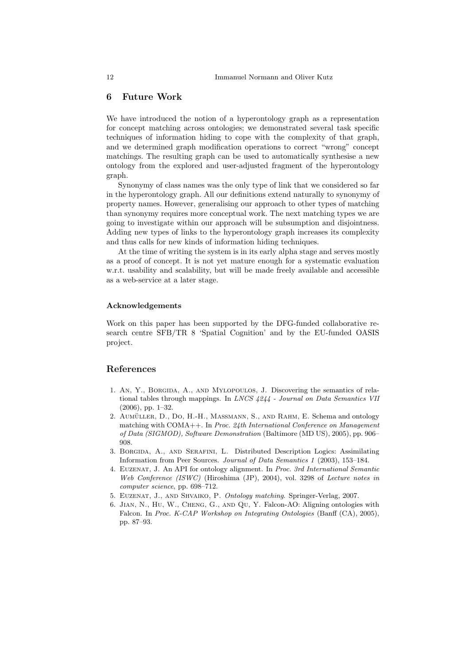## 6 Future Work

We have introduced the notion of a hyperontology graph as a representation for concept matching across ontologies; we demonstrated several task specific techniques of information hiding to cope with the complexity of that graph, and we determined graph modification operations to correct "wrong" concept matchings. The resulting graph can be used to automatically synthesise a new ontology from the explored and user-adjusted fragment of the hyperontology graph.

Synonymy of class names was the only type of link that we considered so far in the hyperontology graph. All our definitions extend naturally to synonymy of property names. However, generalising our approach to other types of matching than synonymy requires more conceptual work. The next matching types we are going to investigate within our approach will be subsumption and disjointness. Adding new types of links to the hyperontology graph increases its complexity and thus calls for new kinds of information hiding techniques.

At the time of writing the system is in its early alpha stage and serves mostly as a proof of concept. It is not yet mature enough for a systematic evaluation w.r.t. usability and scalability, but will be made freely available and accessible as a web-service at a later stage.

#### Acknowledgements

Work on this paper has been supported by the DFG-funded collaborative research centre SFB/TR 8 'Spatial Cognition' and by the EU-funded OASIS project.

#### References

- 1. An, Y., Borgida, A., and Mylopoulos, J. Discovering the semantics of relational tables through mappings. In LNCS 4244 - Journal on Data Semantics VII (2006), pp. 1–32.
- 2. AUMÜLLER, D., DO, H.-H., MASSMANN, S., AND RAHM, E. Schema and ontology matching with COMA++. In Proc. 24th International Conference on Management of Data (SIGMOD), Software Demonstration (Baltimore (MD US), 2005), pp. 906– 908.
- 3. Borgida, A., and Serafini, L. Distributed Description Logics: Assimilating Information from Peer Sources. Journal of Data Semantics 1 (2003), 153–184.
- 4. Euzenat, J. An API for ontology alignment. In Proc. 3rd International Semantic Web Conference (ISWC) (Hiroshima (JP), 2004), vol. 3298 of Lecture notes in computer science, pp. 698–712.
- 5. Euzenat, J., and Shvaiko, P. Ontology matching. Springer-Verlag, 2007.
- 6. Jian, N., Hu, W., Cheng, G., and Qu, Y. Falcon-AO: Aligning ontologies with Falcon. In Proc. K-CAP Workshop on Integrating Ontologies (Banff (CA), 2005), pp. 87–93.